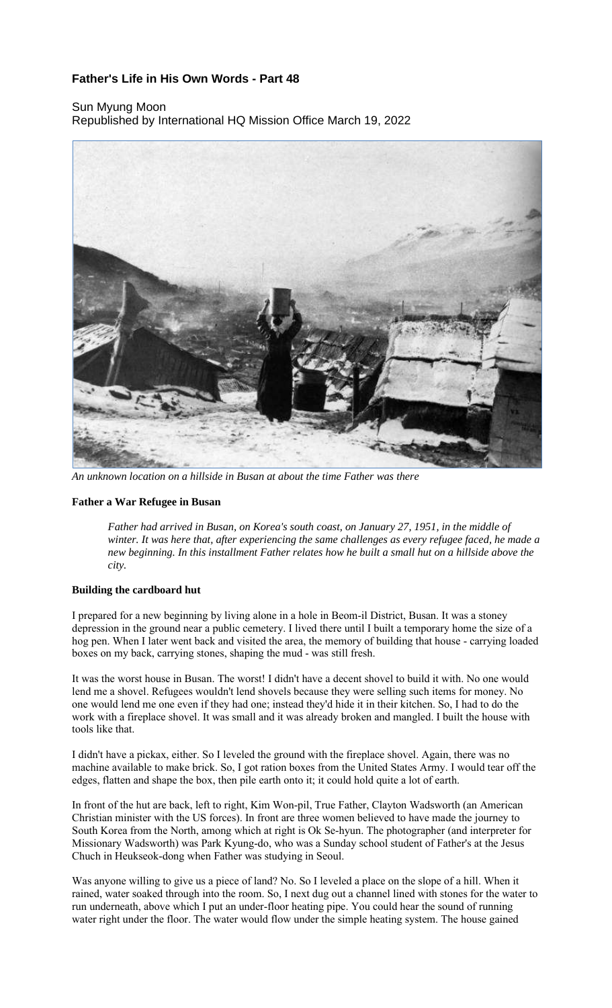# **Father's Life in His Own Words - Part 48**

# Sun Myung Moon Republished by International HQ Mission Office March 19, 2022



*An unknown location on a hillside in Busan at about the time Father was there*

#### **Father a War Refugee in Busan**

*Father had arrived in Busan, on Korea's south coast, on January 27, 1951, in the middle of winter. It was here that, after experiencing the same challenges as every refugee faced, he made a new beginning. In this installment Father relates how he built a small hut on a hillside above the city.*

#### **Building the cardboard hut**

I prepared for a new beginning by living alone in a hole in Beom-il District, Busan. It was a stoney depression in the ground near a public cemetery. I lived there until I built a temporary home the size of a hog pen. When I later went back and visited the area, the memory of building that house - carrying loaded boxes on my back, carrying stones, shaping the mud - was still fresh.

It was the worst house in Busan. The worst! I didn't have a decent shovel to build it with. No one would lend me a shovel. Refugees wouldn't lend shovels because they were selling such items for money. No one would lend me one even if they had one; instead they'd hide it in their kitchen. So, I had to do the work with a fireplace shovel. It was small and it was already broken and mangled. I built the house with tools like that.

I didn't have a pickax, either. So I leveled the ground with the fireplace shovel. Again, there was no machine available to make brick. So, I got ration boxes from the United States Army. I would tear off the edges, flatten and shape the box, then pile earth onto it; it could hold quite a lot of earth.

In front of the hut are back, left to right, Kim Won-pil, True Father, Clayton Wadsworth (an American Christian minister with the US forces). In front are three women believed to have made the journey to South Korea from the North, among which at right is Ok Se-hyun. The photographer (and interpreter for Missionary Wadsworth) was Park Kyung-do, who was a Sunday school student of Father's at the Jesus Chuch in Heukseok-dong when Father was studying in Seoul.

Was anyone willing to give us a piece of land? No. So I leveled a place on the slope of a hill. When it rained, water soaked through into the room. So, I next dug out a channel lined with stones for the water to run underneath, above which I put an under-floor heating pipe. You could hear the sound of running water right under the floor. The water would flow under the simple heating system. The house gained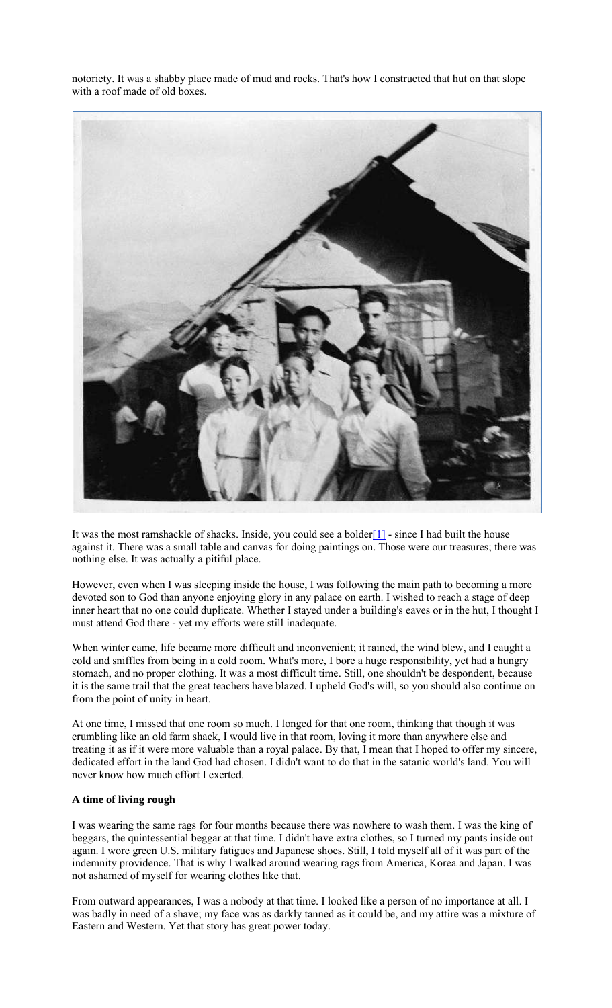

notoriety. It was a shabby place made of mud and rocks. That's how I constructed that hut on that slope with a roof made of old boxes.

It was the most ramshackle of shacks. Inside, you could see a bolder $[1]$  - since I had built the house against it. There was a small table and canvas for doing paintings on. Those were our treasures; there was nothing else. It was actually a pitiful place.

However, even when I was sleeping inside the house, I was following the main path to becoming a more devoted son to God than anyone enjoying glory in any palace on earth. I wished to reach a stage of deep inner heart that no one could duplicate. Whether I stayed under a building's eaves or in the hut, I thought I must attend God there - yet my efforts were still inadequate.

When winter came, life became more difficult and inconvenient; it rained, the wind blew, and I caught a cold and sniffles from being in a cold room. What's more, I bore a huge responsibility, yet had a hungry stomach, and no proper clothing. It was a most difficult time. Still, one shouldn't be despondent, because it is the same trail that the great teachers have blazed. I upheld God's will, so you should also continue on from the point of unity in heart.

At one time, I missed that one room so much. I longed for that one room, thinking that though it was crumbling like an old farm shack, I would live in that room, loving it more than anywhere else and treating it as if it were more valuable than a royal palace. By that, I mean that I hoped to offer my sincere, dedicated effort in the land God had chosen. I didn't want to do that in the satanic world's land. You will never know how much effort I exerted.

# **A time of living rough**

I was wearing the same rags for four months because there was nowhere to wash them. I was the king of beggars, the quintessential beggar at that time. I didn't have extra clothes, so I turned my pants inside out again. I wore green U.S. military fatigues and Japanese shoes. Still, I told myself all of it was part of the indemnity providence. That is why I walked around wearing rags from America, Korea and Japan. I was not ashamed of myself for wearing clothes like that.

From outward appearances, I was a nobody at that time. I looked like a person of no importance at all. I was badly in need of a shave; my face was as darkly tanned as it could be, and my attire was a mixture of Eastern and Western. Yet that story has great power today.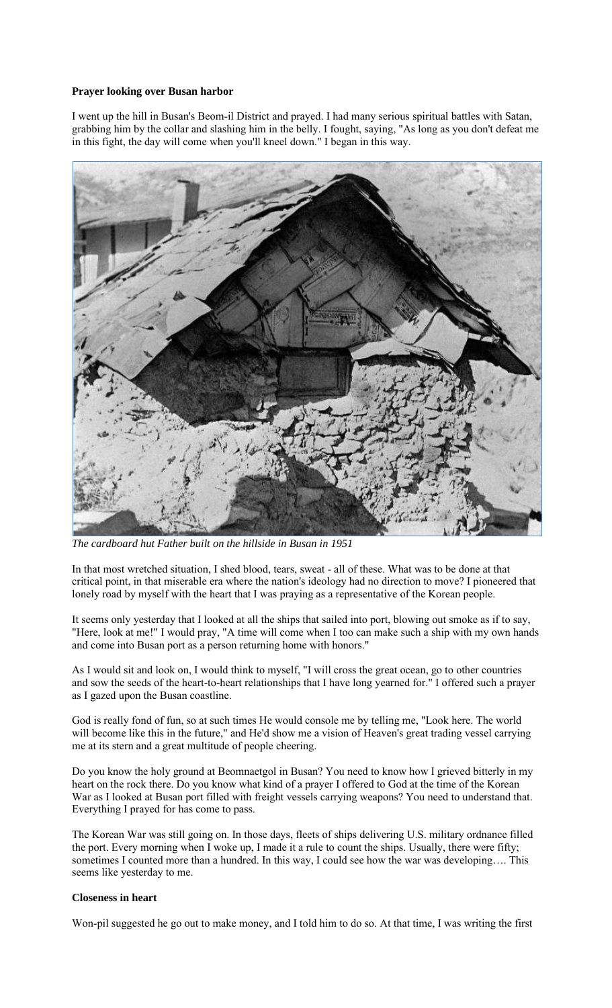## **Prayer looking over Busan harbor**

I went up the hill in Busan's Beom-il District and prayed. I had many serious spiritual battles with Satan, grabbing him by the collar and slashing him in the belly. I fought, saying, "As long as you don't defeat me in this fight, the day will come when you'll kneel down." I began in this way.



*The cardboard hut Father built on the hillside in Busan in 1951*

In that most wretched situation, I shed blood, tears, sweat - all of these. What was to be done at that critical point, in that miserable era where the nation's ideology had no direction to move? I pioneered that lonely road by myself with the heart that I was praying as a representative of the Korean people.

It seems only yesterday that I looked at all the ships that sailed into port, blowing out smoke as if to say, "Here, look at me!" I would pray, "A time will come when I too can make such a ship with my own hands and come into Busan port as a person returning home with honors."

As I would sit and look on, I would think to myself, "I will cross the great ocean, go to other countries and sow the seeds of the heart-to-heart relationships that I have long yearned for." I offered such a prayer as I gazed upon the Busan coastline.

God is really fond of fun, so at such times He would console me by telling me, "Look here. The world will become like this in the future," and He'd show me a vision of Heaven's great trading vessel carrying me at its stern and a great multitude of people cheering.

Do you know the holy ground at Beomnaetgol in Busan? You need to know how I grieved bitterly in my heart on the rock there. Do you know what kind of a prayer I offered to God at the time of the Korean War as I looked at Busan port filled with freight vessels carrying weapons? You need to understand that. Everything I prayed for has come to pass.

The Korean War was still going on. In those days, fleets of ships delivering U.S. military ordnance filled the port. Every morning when I woke up, I made it a rule to count the ships. Usually, there were fifty; sometimes I counted more than a hundred. In this way, I could see how the war was developing…. This seems like yesterday to me.

## **Closeness in heart**

Won-pil suggested he go out to make money, and I told him to do so. At that time, I was writing the first